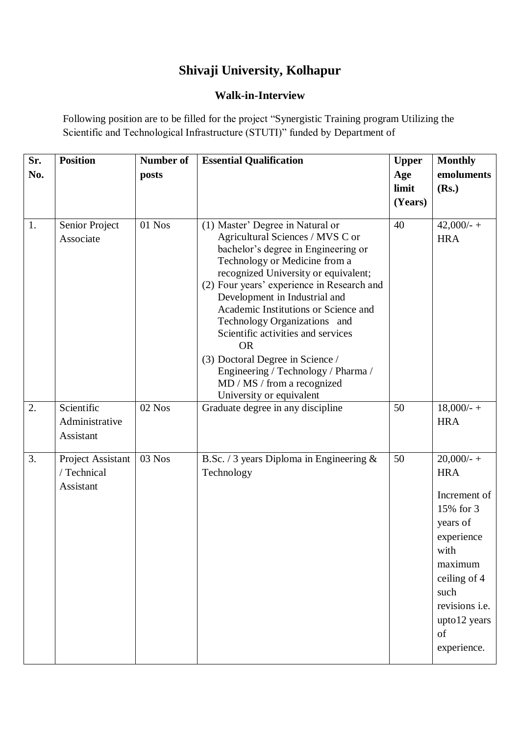## **Shivaji University, Kolhapur**

## **Walk-in-Interview**

Following position are to be filled for the project "Synergistic Training program Utilizing the Scientific and Technological Infrastructure (STUTI)" funded by Department of

| Sr. | <b>Position</b>                               | <b>Number of</b> | <b>Essential Qualification</b>                                                                                                                                                                                                                                                                                                                                                                                                                                                                                                       | <b>Upper</b> | <b>Monthly</b>                                                                                                                                                                              |
|-----|-----------------------------------------------|------------------|--------------------------------------------------------------------------------------------------------------------------------------------------------------------------------------------------------------------------------------------------------------------------------------------------------------------------------------------------------------------------------------------------------------------------------------------------------------------------------------------------------------------------------------|--------------|---------------------------------------------------------------------------------------------------------------------------------------------------------------------------------------------|
| No. |                                               | posts            |                                                                                                                                                                                                                                                                                                                                                                                                                                                                                                                                      | Age          | emoluments                                                                                                                                                                                  |
|     |                                               |                  |                                                                                                                                                                                                                                                                                                                                                                                                                                                                                                                                      | limit        | (Rs.)                                                                                                                                                                                       |
|     |                                               |                  |                                                                                                                                                                                                                                                                                                                                                                                                                                                                                                                                      | (Years)      |                                                                                                                                                                                             |
|     |                                               |                  |                                                                                                                                                                                                                                                                                                                                                                                                                                                                                                                                      |              |                                                                                                                                                                                             |
| 1.  | Senior Project<br>Associate                   | 01 Nos           | (1) Master' Degree in Natural or<br>Agricultural Sciences / MVS C or<br>bachelor's degree in Engineering or<br>Technology or Medicine from a<br>recognized University or equivalent;<br>(2) Four years' experience in Research and<br>Development in Industrial and<br>Academic Institutions or Science and<br>Technology Organizations and<br>Scientific activities and services<br><b>OR</b><br>(3) Doctoral Degree in Science /<br>Engineering / Technology / Pharma /<br>MD / MS / from a recognized<br>University or equivalent | 40           | $42,000/ - +$<br><b>HRA</b>                                                                                                                                                                 |
| 2.  | Scientific                                    | $02$ Nos         | Graduate degree in any discipline                                                                                                                                                                                                                                                                                                                                                                                                                                                                                                    | 50           | $18,000/ - +$                                                                                                                                                                               |
|     | Administrative                                |                  |                                                                                                                                                                                                                                                                                                                                                                                                                                                                                                                                      |              | <b>HRA</b>                                                                                                                                                                                  |
|     |                                               |                  |                                                                                                                                                                                                                                                                                                                                                                                                                                                                                                                                      |              |                                                                                                                                                                                             |
|     | Assistant                                     |                  |                                                                                                                                                                                                                                                                                                                                                                                                                                                                                                                                      |              |                                                                                                                                                                                             |
| 3.  | Project Assistant<br>/ Technical<br>Assistant | 03 Nos           | B.Sc. / 3 years Diploma in Engineering $\&$<br>Technology                                                                                                                                                                                                                                                                                                                                                                                                                                                                            | 50           | $20,000/ - +$<br><b>HRA</b><br>Increment of<br>15% for 3<br>years of<br>experience<br>with<br>maximum<br>ceiling of 4<br>such<br>revisions <i>i.e.</i><br>upto12 years<br>of<br>experience. |